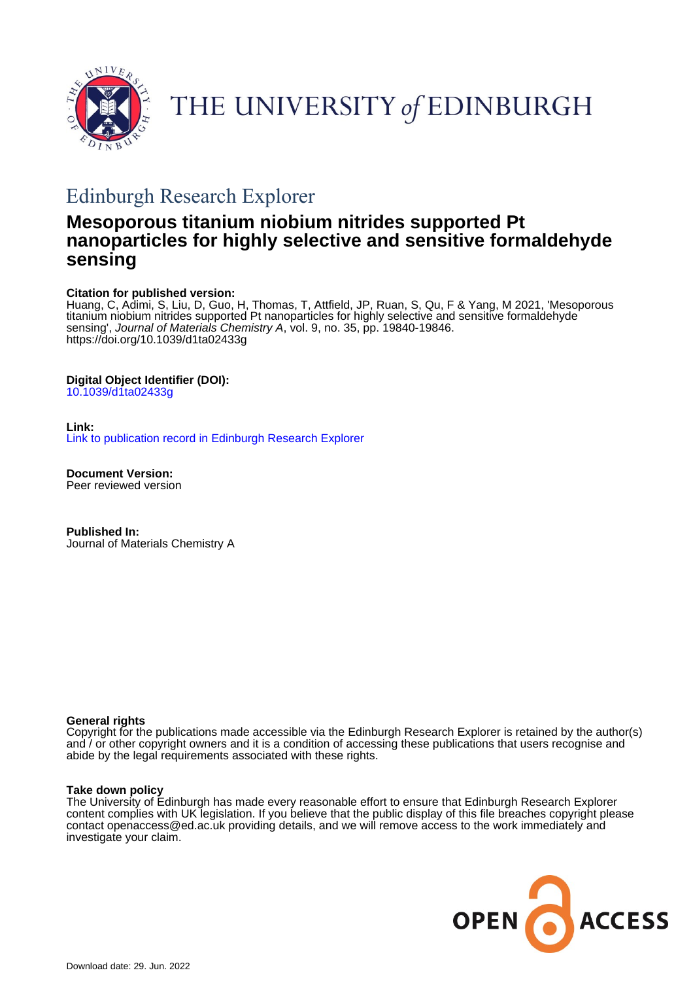



# Edinburgh Research Explorer

# **Mesoporous titanium niobium nitrides supported Pt nanoparticles for highly selective and sensitive formaldehyde sensing**

# **Citation for published version:**

Huang, C, Adimi, S, Liu, D, Guo, H, Thomas, T, Attfield, JP, Ruan, S, Qu, F & Yang, M 2021, 'Mesoporous titanium niobium nitrides supported Pt nanoparticles for highly selective and sensitive formaldehyde sensing', Journal of Materials Chemistry A, vol. 9, no. 35, pp. 19840-19846. <https://doi.org/10.1039/d1ta02433g>

# **Digital Object Identifier (DOI):**

[10.1039/d1ta02433g](https://doi.org/10.1039/d1ta02433g)

# **Link:**

[Link to publication record in Edinburgh Research Explorer](https://www.research.ed.ac.uk/en/publications/c4edbda4-9230-41ad-a89f-b3c0b9e3002a)

**Document Version:** Peer reviewed version

**Published In:** Journal of Materials Chemistry A

# **General rights**

Copyright for the publications made accessible via the Edinburgh Research Explorer is retained by the author(s) and / or other copyright owners and it is a condition of accessing these publications that users recognise and abide by the legal requirements associated with these rights.

# **Take down policy**

The University of Edinburgh has made every reasonable effort to ensure that Edinburgh Research Explorer content complies with UK legislation. If you believe that the public display of this file breaches copyright please contact openaccess@ed.ac.uk providing details, and we will remove access to the work immediately and investigate your claim.

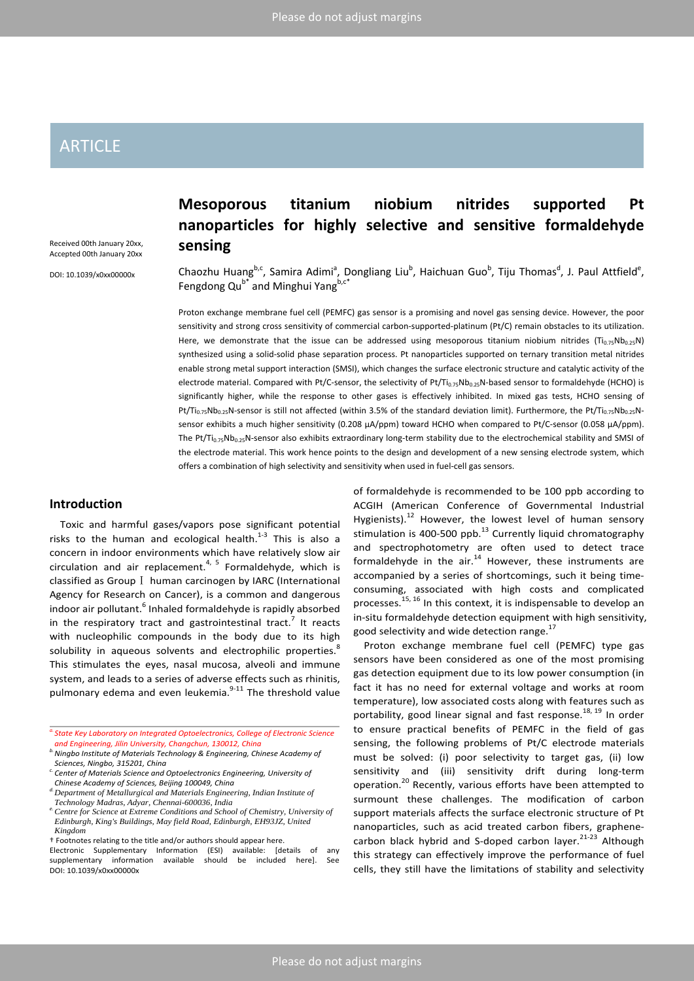# ARTICLE

Received 00th January 20xx, Accepted 00th January 20xx

DOI: 10.1039/x0xx00000x

# **Mesoporous titanium niobium nitrides supported Pt nanoparticles for highly selective and sensitive formaldehyde sensing**

Chaozhu Huang<sup>b,c</sup>, Samira Adimi<sup>a</sup>, Dongliang Liu<sup>b</sup>, Haichuan Guo<sup>b</sup>, Tiju Thomas<sup>d</sup>, J. Paul Attfield<sup>e</sup>, Fengdong Qu<sup>b\*</sup> and Minghui Yang<sup>b,c\*</sup>

Proton exchange membrane fuel cell (PEMFC) gas sensor is a promising and novel gas sensing device. However, the poor sensitivity and strong cross sensitivity of commercial carbon-supported-platinum (Pt/C) remain obstacles to its utilization. Here, we demonstrate that the issue can be addressed using mesoporous titanium niobium nitrides (Ti<sub>0.75</sub>Nb<sub>0.25</sub>N) synthesized using a solid-solid phase separation process. Pt nanoparticles supported on ternary transition metal nitrides enable strong metal support interaction (SMSI), which changes the surface electronic structure and catalytic activity of the electrode material. Compared with Pt/C-sensor, the selectivity of Pt/Ti<sub>0.75</sub>Nb<sub>0.25</sub>N-based sensor to formaldehyde (HCHO) is significantly higher, while the response to other gases is effectively inhibited. In mixed gas tests, HCHO sensing of Pt/Ti<sub>0.75</sub>Nb<sub>0.25</sub>N-sensor is still not affected (within 3.5% of the standard deviation limit). Furthermore, the Pt/Ti<sub>0.75</sub>Nb<sub>0.25</sub>Nsensor exhibits a much higher sensitivity (0.208 μA/ppm) toward HCHO when compared to Pt/C-sensor (0.058 μA/ppm). The Pt/Ti<sub>0.75</sub>Nb<sub>0.25</sub>N-sensor also exhibits extraordinary long-term stability due to the electrochemical stability and SMSI of the electrode material. This work hence points to the design and development of a new sensing electrode system, which offers a combination of high selectivity and sensitivity when used in fuel-cell gas sensors.

# **Introduction**

Toxic and harmful gases/vapors pose significant potential risks to the human and ecological health. $1-3$  This is also a concern in indoor environments which have relatively slow air circulation and air replacement.<sup>4, 5</sup> Formaldehyde, which is classified as GroupⅠ human carcinogen by IARC (International Agency for Research on Cancer), is a common and dangerous indoor air pollutant.<sup>6</sup> Inhaled formaldehyde is rapidly absorbed in the respiratory tract and gastrointestinal tract.<sup>7</sup> It reacts with nucleophilic compounds in the body due to its high solubility in aqueous solvents and electrophilic properties.<sup>8</sup> This stimulates the eyes, nasal mucosa, alveoli and immune system, and leads to a series of adverse effects such as rhinitis, pulmonary edema and even leukemia.<sup>9-11</sup> The threshold value

*c. Center of Materials Science and Optoelectronics Engineering, University of Chinese Academy of Sciences, Beijing 100049, China*

† Footnotes relating to the title and/or authors should appear here.

of formaldehyde is recommended to be 100 ppb according to ACGIH (American Conference of Governmental Industrial Hygienists).<sup>12</sup> However, the lowest level of human sensory stimulation is 400-500 ppb. $^{13}$  Currently liquid chromatography and spectrophotometry are often used to detect trace formaldehyde in the  $air.^{14}$  However, these instruments are accompanied by a series of shortcomings, such it being timeconsuming, associated with high costs and complicated processes.<sup>15, 16</sup> In this context, it is indispensable to develop an in-situ formaldehyde detection equipment with high sensitivity, good selectivity and wide detection range.<sup>17</sup>

Proton exchange membrane fuel cell (PEMFC) type gas sensors have been considered as one of the most promising gas detection equipment due to its low power consumption (in fact it has no need for external voltage and works at room temperature), low associated costs along with features such as portability, good linear signal and fast response.<sup>18, 19</sup> In order to ensure practical benefits of PEMFC in the field of gas sensing, the following problems of Pt/C electrode materials must be solved: (i) poor selectivity to target gas, (ii) low sensitivity and (iii) sensitivity drift during long-term operation.<sup>20</sup> Recently, various efforts have been attempted to surmount these challenges. The modification of carbon support materials affects the surface electronic structure of Pt nanoparticles, such as acid treated carbon fibers, graphenecarbon black hybrid and S-doped carbon layer. $21-23$  Although this strategy can effectively improve the performance of fuel cells, they still have the limitations of stability and selectivity

*a.State Key Laboratory on Integrated Optoelectronics, College of Electronic Science and Engineering, Jilin University, Changchun, 130012, China*

*b.Ningbo Institute of Materials Technology & Engineering, Chinese Academy of Sciences, Ningbo, 315201, China*

*d.Department of Metallurgical and Materials Engineering, Indian Institute of* 

*Technology Madras, Adyar, Chennai-600036, India e.Centre for Science at Extreme Conditions and School of Chemistry, University of Edinburgh, King's Buildings, May field Road, Edinburgh, EH93JZ, United Kingdom*

Electronic Supplementary Information (ESI) available: [details of any supplementary information available should be included here]. See DOI: 10.1039/x0xx00000x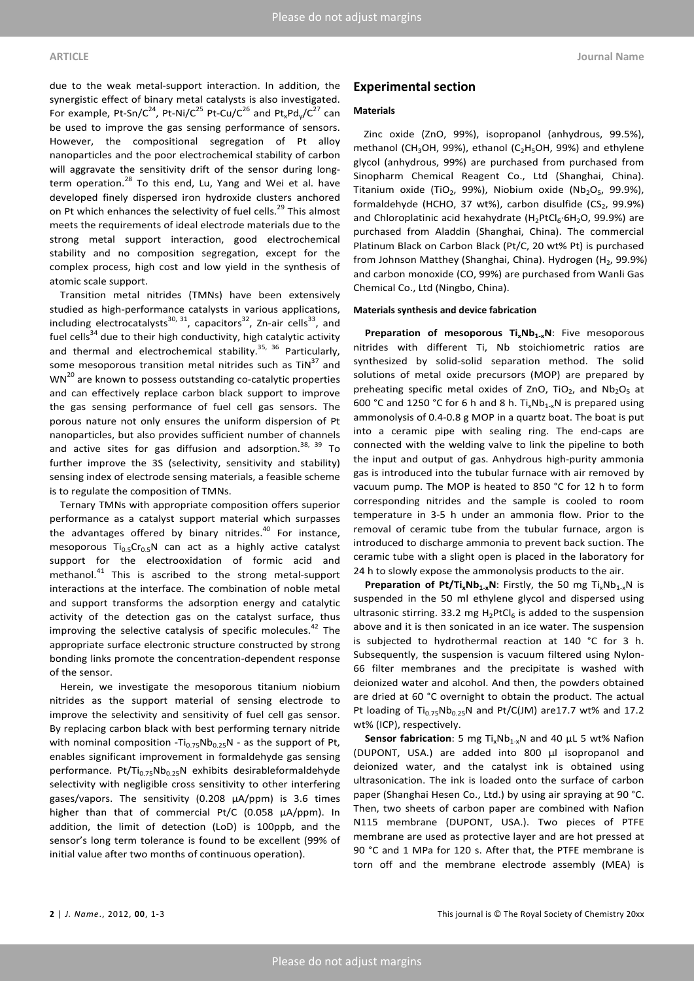due to the weak metal-support interaction. In addition, the synergistic effect of binary metal catalysts is also investigated. For example, Pt-Sn/C<sup>24</sup>, Pt-Ni/C<sup>25</sup> Pt-Cu/C<sup>26</sup> and Pt<sub>x</sub>Pd<sub>v</sub>/C<sup>27</sup> can be used to improve the gas sensing performance of sensors. However, the compositional segregation of Pt alloy nanoparticles and the poor electrochemical stability of carbon will aggravate the sensitivity drift of the sensor during longterm operation.<sup>28</sup> To this end, Lu, Yang and Wei et al. have developed finely dispersed iron hydroxide clusters anchored on Pt which enhances the selectivity of fuel cells.<sup>29</sup> This almost meets the requirements of ideal electrode materials due to the strong metal support interaction, good electrochemical stability and no composition segregation, except for the complex process, high cost and low yield in the synthesis of atomic scale support.

Transition metal nitrides (TMNs) have been extensively studied as high-performance catalysts in various applications, including electrocatalysts<sup>30, 31</sup>, capacitors<sup>32</sup>, Zn-air cells<sup>33</sup>, and fuel cells $34$  due to their high conductivity, high catalytic activity and thermal and electrochemical stability.<sup>35, 36</sup> Particularly, some mesoporous transition metal nitrides such as  $TiN<sup>37</sup>$  and  $WN^{20}$  are known to possess outstanding co-catalytic properties and can effectively replace carbon black support to improve the gas sensing performance of fuel cell gas sensors. The porous nature not only ensures the uniform dispersion of Pt nanoparticles, but also provides sufficient number of channels and active sites for gas diffusion and adsorption.  $38, 39$  To further improve the 3S (selectivity, sensitivity and stability) sensing index of electrode sensing materials, a feasible scheme is to regulate the composition of TMNs.

Ternary TMNs with appropriate composition offers superior performance as a catalyst support material which surpasses the advantages offered by binary nitrides.<sup>40</sup> For instance, mesoporous  $Ti_{0.5}Cr_{0.5}N$  can act as a highly active catalyst support for the electrooxidation of formic acid and methanol.<sup>41</sup> This is ascribed to the strong metal-support interactions at the interface. The combination of noble metal and support transforms the adsorption energy and catalytic activity of the detection gas on the catalyst surface, thus improving the selective catalysis of specific molecules. $42$  The appropriate surface electronic structure constructed by strong bonding links promote the concentration-dependent response of the sensor.

Herein, we investigate the mesoporous titanium niobium nitrides as the support material of sensing electrode to improve the selectivity and sensitivity of fuel cell gas sensor. By replacing carbon black with best performing ternary nitride with nominal composition -Ti $_{0.75}$ Nb $_{0.25}$ N - as the support of Pt, enables significant improvement in formaldehyde gas sensing performance. Pt/Ti<sub>0.75</sub>Nb<sub>0.25</sub>N exhibits desirableformaldehyde selectivity with negligible cross sensitivity to other interfering gases/vapors. The sensitivity (0.208 μA/ppm) is 3.6 times higher than that of commercial Pt/C (0.058 μA/ppm). In addition, the limit of detection (LoD) is 100ppb, and the sensor's long term tolerance is found to be excellent (99% of initial value after two months of continuous operation).

### **Experimental section**

#### **Materials**

Zinc oxide (ZnO, 99%), isopropanol (anhydrous, 99.5%), methanol (CH<sub>3</sub>OH, 99%), ethanol (C<sub>2</sub>H<sub>5</sub>OH, 99%) and ethylene glycol (anhydrous, 99%) are purchased from purchased from Sinopharm Chemical Reagent Co., Ltd (Shanghai, China). Titanium oxide (TiO<sub>2</sub>, 99%), Niobium oxide (Nb<sub>2</sub>O<sub>5</sub>, 99.9%), formaldehyde (HCHO, 37 wt%), carbon disulfide  $(CS_2, 99.9%)$ and Chloroplatinic acid hexahydrate  $(H_2PtCl_6·6H_2O, 99.9%)$  are purchased from Aladdin (Shanghai, China). The commercial Platinum Black on Carbon Black (Pt/C, 20 wt% Pt) is purchased from Johnson Matthey (Shanghai, China). Hydrogen (H<sub>2</sub>, 99.9%) and carbon monoxide (CO, 99%) are purchased from Wanli Gas Chemical Co., Ltd (Ningbo, China).

#### **Materials synthesis and device fabrication**

Preparation of mesoporous Ti<sub>x</sub>Nb<sub>1-x</sub>N: Five mesoporous nitrides with different Ti, Nb stoichiometric ratios are synthesized by solid-solid separation method. The solid solutions of metal oxide precursors (MOP) are prepared by preheating specific metal oxides of ZnO, TiO<sub>2</sub>, and Nb<sub>2</sub>O<sub>5</sub> at 600 °C and 1250 °C for 6 h and 8 h. Ti<sub>x</sub>Nb<sub>1-x</sub>N is prepared using ammonolysis of 0.4-0.8 g MOP in a quartz boat. The boat is put into a ceramic pipe with sealing ring. The end-caps are connected with the welding valve to link the pipeline to both the input and output of gas. Anhydrous high-purity ammonia gas is introduced into the tubular furnace with air removed by vacuum pump. The MOP is heated to 850 °C for 12 h to form corresponding nitrides and the sample is cooled to room temperature in 3-5 h under an ammonia flow. Prior to the removal of ceramic tube from the tubular furnace, argon is introduced to discharge ammonia to prevent back suction. The ceramic tube with a slight open is placed in the laboratory for 24 h to slowly expose the ammonolysis products to the air.

**Preparation of Pt/Ti<sub>x</sub>Nb<sub>1-x</sub>N**: Firstly, the 50 mg Ti<sub>x</sub>Nb<sub>1-x</sub>N is suspended in the 50 ml ethylene glycol and dispersed using ultrasonic stirring. 33.2 mg  $H_2PtCl_6$  is added to the suspension above and it is then sonicated in an ice water. The suspension is subjected to hydrothermal reaction at 140 °C for 3 h. Subsequently, the suspension is vacuum filtered using Nylon-66 filter membranes and the precipitate is washed with deionized water and alcohol. And then, the powders obtained are dried at 60 °C overnight to obtain the product. The actual Pt loading of  $Ti_{0.75}Nb_{0.25}N$  and Pt/C(JM) are17.7 wt% and 17.2 wt% (ICP), respectively.

**Sensor fabrication**: 5 mg Ti<sub>x</sub>Nb<sub>1-x</sub>N and 40 μL 5 wt% Nafion (DUPONT, USA.) are added into 800 μl isopropanol and deionized water, and the catalyst ink is obtained using ultrasonication. The ink is loaded onto the surface of carbon paper (Shanghai Hesen Co., Ltd.) by using air spraying at 90 °C. Then, two sheets of carbon paper are combined with Nafion N115 membrane (DUPONT, USA.). Two pieces of PTFE membrane are used as protective layer and are hot pressed at 90 °C and 1 MPa for 120 s. After that, the PTFE membrane is torn off and the membrane electrode assembly (MEA) is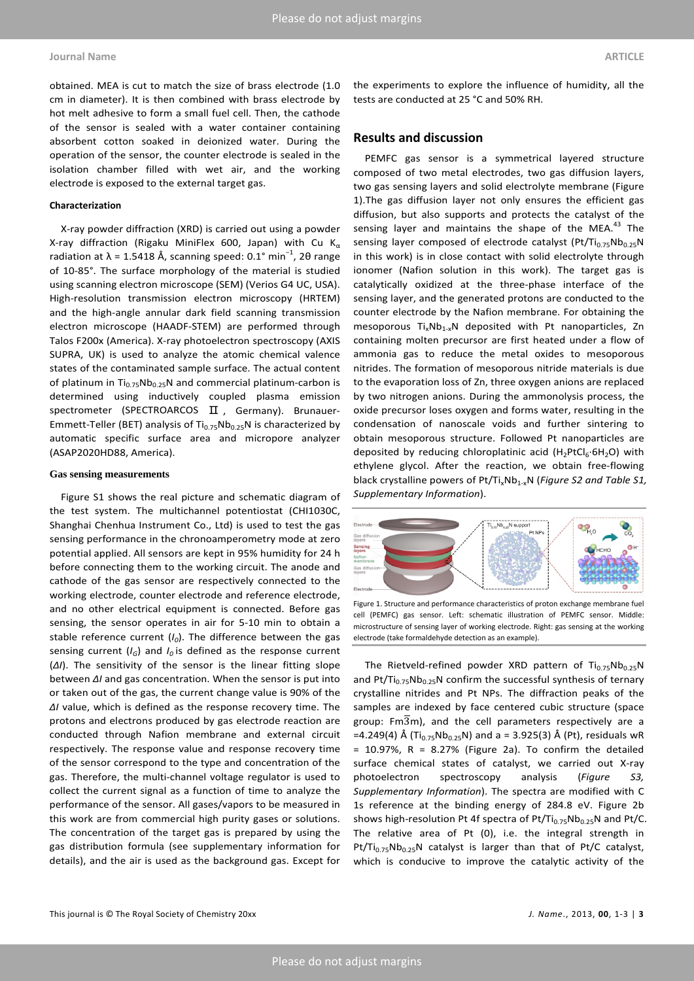### **Journal Name ARTICLE**

obtained. MEA is cut to match the size of brass electrode (1.0 cm in diameter). It is then combined with brass electrode by hot melt adhesive to form a small fuel cell. Then, the cathode of the sensor is sealed with a water container containing absorbent cotton soaked in deionized water. During the operation of the sensor, the counter electrode is sealed in the isolation chamber filled with wet air, and the working electrode is exposed to the external target gas.

#### **Characterization**

X-ray powder diffraction (XRD) is carried out using a powder X-ray diffraction (Rigaku MiniFlex 600, Japan) with Cu K<sub>α</sub> radiation at  $\lambda$  = 1.5418 Å, scanning speed: 0.1° min<sup>-1</sup>, 2θ range of 10-85°. The surface morphology of the material is studied using scanning electron microscope (SEM) (Verios G4 UC, USA). High-resolution transmission electron microscopy (HRTEM) and the high-angle annular dark field scanning transmission electron microscope (HAADF-STEM) are performed through Talos F200x (America). X-ray photoelectron spectroscopy (AXIS SUPRA, UK) is used to analyze the atomic chemical valence states of the contaminated sample surface. The actual content of platinum in  $Ti_{0.75}Nb_{0.25}N$  and commercial platinum-carbon is determined using inductively coupled plasma emission spectrometer (SPECTROARCOS  $\Pi$ , Germany). Brunauer-Emmett-Teller (BET) analysis of  $Ti_{0.75}Nb_{0.25}N$  is characterized by automatic specific surface area and micropore analyzer (ASAP2020HD88, America).

#### **Gas sensing measurements**

Figure S1 shows the real picture and schematic diagram of the test system. The multichannel potentiostat (CHI1030C, Shanghai Chenhua Instrument Co., Ltd) is used to test the gas sensing performance in the chronoamperometry mode at zero potential applied. All sensors are kept in 95% humidity for 24 h before connecting them to the working circuit. The anode and cathode of the gas sensor are respectively connected to the working electrode, counter electrode and reference electrode, and no other electrical equipment is connected. Before gas sensing, the sensor operates in air for 5-10 min to obtain a stable reference current  $(I_0)$ . The difference between the gas sensing current  $(I_G)$  and  $I_Q$  is defined as the response current (*ΔI*). The sensitivity of the sensor is the linear fitting slope between *ΔI* and gas concentration. When the sensor is put into or taken out of the gas, the current change value is 90% of the *ΔI* value, which is defined as the response recovery time. The protons and electrons produced by gas electrode reaction are conducted through Nafion membrane and external circuit respectively. The response value and response recovery time of the sensor correspond to the type and concentration of the gas. Therefore, the multi-channel voltage regulator is used to collect the current signal as a function of time to analyze the performance of the sensor. All gases/vapors to be measured in this work are from commercial high purity gases or solutions. The concentration of the target gas is prepared by using the gas distribution formula (see supplementary information for details), and the air is used as the background gas. Except for

the experiments to explore the influence of humidity, all the tests are conducted at 25 °C and 50% RH.

### **Results and discussion**

PEMFC gas sensor is a symmetrical layered structure composed of two metal electrodes, two gas diffusion layers, two gas sensing layers and solid electrolyte membrane (Figure 1).The gas diffusion layer not only ensures the efficient gas diffusion, but also supports and protects the catalyst of the sensing layer and maintains the shape of the MEA.<sup>43</sup> The sensing layer composed of electrode catalyst (Pt/Ti<sub>0.75</sub>Nb<sub>0.25</sub>N in this work) is in close contact with solid electrolyte through ionomer (Nafion solution in this work). The target gas is catalytically oxidized at the three-phase interface of the sensing layer, and the generated protons are conducted to the counter electrode by the Nafion membrane. For obtaining the mesoporous  $Ti_xNb_{1-x}N$  deposited with Pt nanoparticles, Zn containing molten precursor are first heated under a flow of ammonia gas to reduce the metal oxides to mesoporous nitrides. The formation of mesoporous nitride materials is due to the evaporation loss of Zn, three oxygen anions are replaced by two nitrogen anions. During the ammonolysis process, the oxide precursor loses oxygen and forms water, resulting in the condensation of nanoscale voids and further sintering to obtain mesoporous structure. Followed Pt nanoparticles are deposited by reducing chloroplatinic acid  $(H_2PtCl_6·6H_2O)$  with ethylene glycol. After the reaction, we obtain free-flowing black crystalline powers of Pt/Ti<sub>x</sub>Nb<sub>1-x</sub>N (*Figure S2 and Table S1*, *Supplementary Information*).



Figure 1. Structure and performance characteristics of proton exchange membrane fuel cell (PEMFC) gas sensor. Left: schematic illustration of PEMFC sensor. Middle: microstructure of sensing layer of working electrode. Right: gas sensing at the working electrode (take formaldehyde detection as an example).

The Rietveld-refined powder XRD pattern of  $Ti_{0.75}Nb_{0.25}N$ and Pt/Ti<sub>0.75</sub>Nb<sub>0.25</sub>N confirm the successful synthesis of ternary crystalline nitrides and Pt NPs. The diffraction peaks of the samples are indexed by face centered cubic structure (space group:  $Fm\overline{3}m$ ), and the cell parameters respectively are a =4.249(4) Å (Ti<sub>0.75</sub>Nb<sub>0.25</sub>N) and a = 3.925(3) Å (Pt), residuals wR  $= 10.97\%$ , R = 8.27% (Figure 2a). To confirm the detailed surface chemical states of catalyst, we carried out X-ray photoelectron spectroscopy analysis (*Figure S3, Supplementary Information*). The spectra are modified with C 1s reference at the binding energy of 284.8 eV. Figure 2b shows high-resolution Pt 4f spectra of Pt/Ti $_{0.75}$ Nb $_{0.25}$ N and Pt/C. The relative area of Pt (0), i.e. the integral strength in Pt/Ti<sub>0.75</sub>Nb<sub>0.25</sub>N catalyst is larger than that of Pt/C catalyst, which is conducive to improve the catalytic activity of the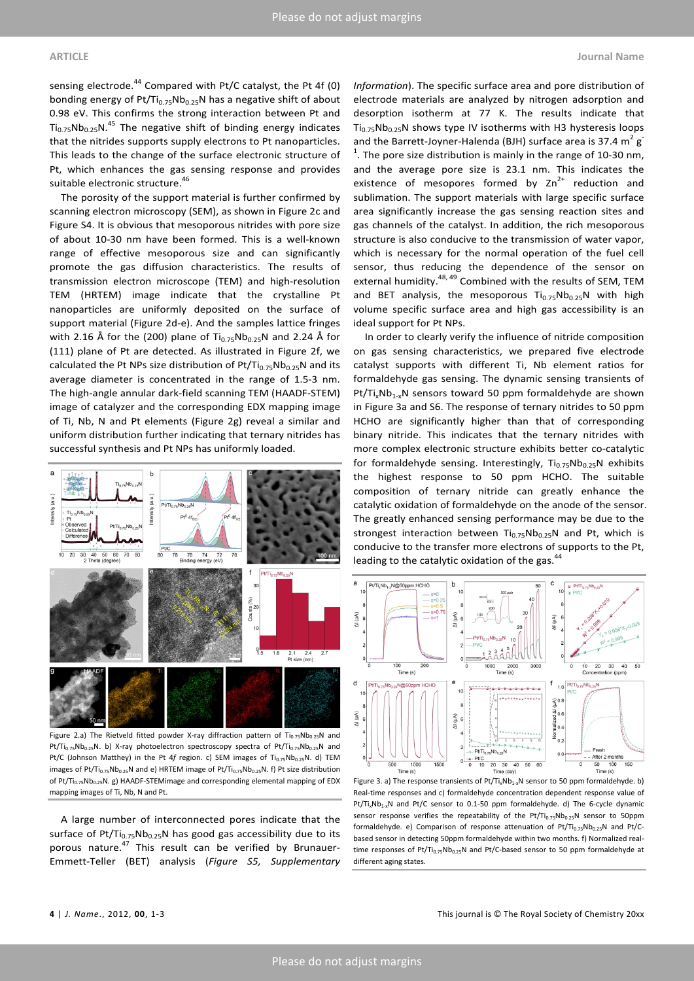sensing electrode.<sup>44</sup> Compared with Pt/C catalyst, the Pt 4f (0) bonding energy of  $Pt/Ti_{0.75}Nb_{0.25}N$  has a negative shift of about 0.98 eV. This confirms the strong interaction between Pt and  $Ti_{0.75}Nb_{0.25}N$ .<sup>45</sup> The negative shift of binding energy indicates that the nitrides supports supply electrons to Pt nanoparticles. This leads to the change of the surface electronic structure of Pt, which enhances the gas sensing response and provides suitable electronic structure. 46

The porosity of the support material is further confirmed by scanning electron microscopy (SEM), as shown in Figure 2c and Figure S4. It is obvious that mesoporous nitrides with pore size of about 10-30 nm have been formed. This is a well-known range of effective mesoporous size and can significantly promote the gas diffusion characteristics. The results of transmission electron microscope (TEM) and high-resolution TEM (HRTEM) image indicate that the crystalline Pt nanoparticles are uniformly deposited on the surface of support material (Figure 2d-e). And the samples lattice fringes with 2.16 Å for the (200) plane of  $Ti_{0.75}Nb_{0.25}N$  and 2.24 Å for (111) plane of Pt are detected. As illustrated in Figure 2f, we calculated the Pt NPs size distribution of  $Pt/Ti_{0.75}Nb_{0.25}N$  and its average diameter is concentrated in the range of 1.5-3 nm. The high-angle annular dark-field scanning TEM (HAADF-STEM) image of catalyzer and the corresponding EDX mapping image of Ti, Nb, N and Pt elements (Figure 2g) reveal a similar and uniform distribution further indicating that ternary nitrides has successful synthesis and Pt NPs has uniformly loaded.



Figure 2.a) The Rietveld fitted powder X-ray diffraction pattern of  $Ti_{0.75}Nb_{0.25}N$  and Pt/Ti<sub>0.75</sub>Nb<sub>0.25</sub>N. b) X-ray photoelectron spectroscopy spectra of Pt/Ti<sub>0.75</sub>Nb<sub>0.25</sub>N and Pt/C (Johnson Matthey) in the Pt 4f region. c) SEM images of Ti<sub>0.75</sub>Nb<sub>0.25</sub>N. d) TEM images of Pt/Ti<sub>0.75</sub>Nb<sub>0.25</sub>N and e) HRTEM image of Pt/Ti<sub>0.75</sub>Nb<sub>0.25</sub>N. f) Pt size distribution of Pt/Ti<sub>0.75</sub>Nb<sub>0.25</sub>N. g) HAADF-STEMimage and corresponding elemental mapping of EDX mapping images of Ti, Nb, N and Pt.

A large number of interconnected pores indicate that the surface of Pt/Ti<sub>0.75</sub>Nb<sub>0.25</sub>N has good gas accessibility due to its porous nature.<sup>47</sup> This result can be verified by Brunauer-Emmett-Teller (BET) analysis (*Figure S5, Supplementary*  *Information*). The specific surface area and pore distribution of electrode materials are analyzed by nitrogen adsorption and desorption isotherm at 77 K. The results indicate that  $Ti<sub>0.75</sub>Nb<sub>0.25</sub>N$  shows type IV isotherms with H3 hysteresis loops and the Barrett-Joyner-Halenda (BJH) surface area is 37.4  $m^2 g$  $1$ . The pore size distribution is mainly in the range of 10-30 nm, and the average pore size is 23.1 nm. This indicates the existence of mesopores formed by  $Zn^{2+}$  reduction and sublimation. The support materials with large specific surface area significantly increase the gas sensing reaction sites and gas channels of the catalyst. In addition, the rich mesoporous structure is also conducive to the transmission of water vapor, which is necessary for the normal operation of the fuel cell sensor, thus reducing the dependence of the sensor on external humidity.<sup>48, 49</sup> Combined with the results of SEM, TEM and BET analysis, the mesoporous  $Ti_{0.75}Nb_{0.25}N$  with high volume specific surface area and high gas accessibility is an ideal support for Pt NPs.

In order to clearly verify the influence of nitride composition on gas sensing characteristics, we prepared five electrode catalyst supports with different Ti, Nb element ratios for formaldehyde gas sensing. The dynamic sensing transients of  $Pt/Ti_xNb_{1-x}N$  sensors toward 50 ppm formaldehyde are shown in Figure 3a and S6. The response of ternary nitrides to 50 ppm HCHO are significantly higher than that of corresponding binary nitride. This indicates that the ternary nitrides with more complex electronic structure exhibits better co-catalytic for formaldehyde sensing. Interestingly,  $Ti_{0.75}Nb_{0.25}N$  exhibits the highest response to 50 ppm HCHO. The suitable composition of ternary nitride can greatly enhance the catalytic oxidation of formaldehyde on the anode of the sensor. The greatly enhanced sensing performance may be due to the strongest interaction between  $Ti_{0.75}Nb_{0.25}N$  and Pt, which is conducive to the transfer more electrons of supports to the Pt, leading to the catalytic oxidation of the gas.<sup>44</sup>



Figure 3. a) The response transients of  $Pt/T_{1x}Nb_{1-x}N$  sensor to 50 ppm formaldehyde. b) Real-time responses and c) formaldehyde concentration dependent response value of Pt/Ti<sub>x</sub>Nb<sub>1-x</sub>N and Pt/C sensor to 0.1-50 ppm formaldehyde. d) The 6-cycle dynamic sensor response verifies the repeatability of the  $Pt/Ti_{0.75}Nb_{0.25}N$  sensor to 50ppm formaldehyde. e) Comparison of response attenuation of Pt/Ti<sub>0.75</sub>Nb<sub>0.25</sub>N and Pt/Cbased sensor in detecting 50ppm formaldehyde within two months. f) Normalized realtime responses of Pt/Ti<sub>0.75</sub>Nb<sub>0.25</sub>N and Pt/C-based sensor to 50 ppm formaldehyde at different aging states.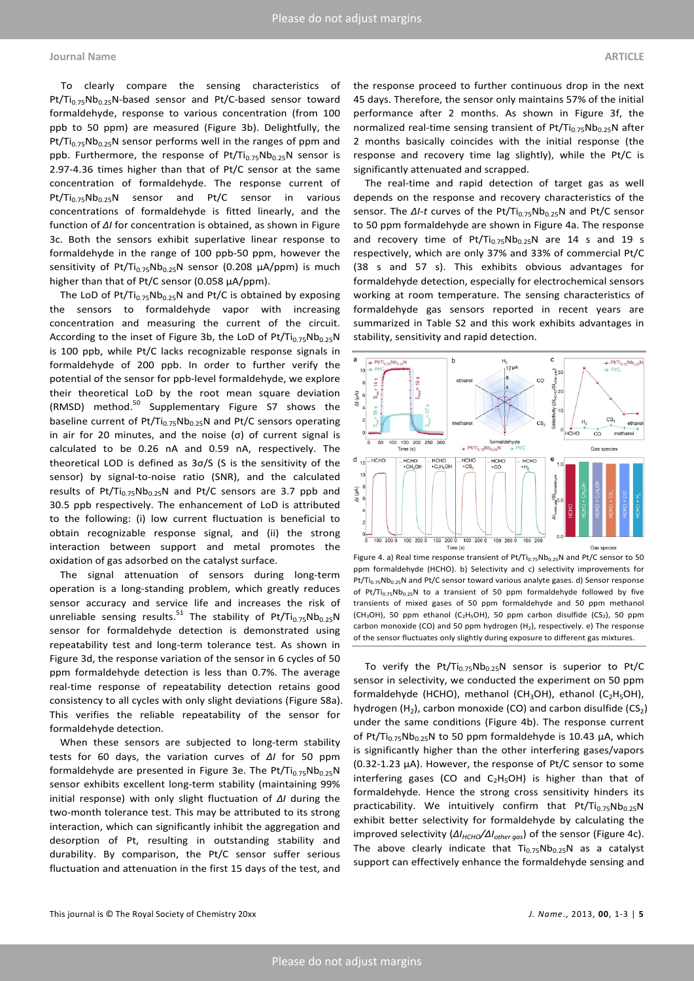### **Journal Name ARTICLE**

To clearly compare the sensing characteristics of  $Pt/Ti_{0.75}Nb_{0.25}N-based$  sensor and Pt/C-based sensor toward formaldehyde, response to various concentration (from 100 ppb to 50 ppm) are measured (Figure 3b). Delightfully, the Pt/Ti<sub>0.75</sub>Nb<sub>0.25</sub>N sensor performs well in the ranges of ppm and ppb. Furthermore, the response of  $Pt/Ti_{0.75}Nb_{0.25}N$  sensor is 2.97-4.36 times higher than that of Pt/C sensor at the same concentration of formaldehyde. The response current of  $Pt/Ti_{0.75}Nb_{0.25}N$  sensor and Pt/C sensor in various concentrations of formaldehyde is fitted linearly, and the function of *ΔI* for concentration is obtained, as shown in Figure 3c. Both the sensors exhibit superlative linear response to formaldehyde in the range of 100 ppb-50 ppm, however the sensitivity of Pt/Ti<sub>0.75</sub>Nb<sub>0.25</sub>N sensor (0.208  $\mu$ A/ppm) is much higher than that of Pt/C sensor (0.058 μA/ppm).

The LoD of Pt/Ti $_{0.75}$ Nb<sub>0.25</sub>N and Pt/C is obtained by exposing the sensors to formaldehyde vapor with increasing concentration and measuring the current of the circuit. According to the inset of Figure 3b, the LoD of  $Pt/Ti_{0.75}Nb_{0.25}N$ is 100 ppb, while Pt/C lacks recognizable response signals in formaldehyde of 200 ppb. In order to further verify the potential of the sensor for ppb-level formaldehyde, we explore their theoretical LoD by the root mean square deviation (RMSD) method.<sup>50</sup> Supplementary Figure S7 shows the baseline current of  $Pt/Ti_{0.75}Nb_{0.25}N$  and Pt/C sensors operating in air for 20 minutes, and the noise (σ) of current signal is calculated to be 0.26 nA and 0.59 nA, respectively. The theoretical LOD is defined as 3σ/S (S is the sensitivity of the sensor) by signal-to-noise ratio (SNR), and the calculated results of Pt/Ti<sub>0.75</sub>Nb<sub>0.25</sub>N and Pt/C sensors are 3.7 ppb and 30.5 ppb respectively. The enhancement of LoD is attributed to the following: (i) low current fluctuation is beneficial to obtain recognizable response signal, and (ii) the strong interaction between support and metal promotes the oxidation of gas adsorbed on the catalyst surface.

The signal attenuation of sensors during long-term operation is a long-standing problem, which greatly reduces sensor accuracy and service life and increases the risk of unreliable sensing results.<sup>51</sup> The stability of Pt/Ti<sub>0.75</sub>Nb<sub>0.25</sub>N sensor for formaldehyde detection is demonstrated using repeatability test and long-term tolerance test. As shown in Figure 3d, the response variation of the sensor in 6 cycles of 50 ppm formaldehyde detection is less than 0.7%. The average real-time response of repeatability detection retains good consistency to all cycles with only slight deviations (Figure S8a). This verifies the reliable repeatability of the sensor for formaldehyde detection.

When these sensors are subjected to long-term stability tests for 60 days, the variation curves of *ΔI* for 50 ppm formaldehyde are presented in Figure 3e. The Pt/Ti<sub>0.75</sub>Nb<sub>0.25</sub>N sensor exhibits excellent long-term stability (maintaining 99% initial response) with only slight fluctuation of *ΔI* during the two-month tolerance test. This may be attributed to its strong interaction, which can significantly inhibit the aggregation and desorption of Pt, resulting in outstanding stability and durability. By comparison, the Pt/C sensor suffer serious fluctuation and attenuation in the first 15 days of the test, and

the response proceed to further continuous drop in the next 45 days. Therefore, the sensor only maintains 57% of the initial performance after 2 months. As shown in Figure 3f, the normalized real-time sensing transient of  $Pt/Ti_{0.75}Nb_{0.25}N$  after 2 months basically coincides with the initial response (the response and recovery time lag slightly), while the Pt/C is significantly attenuated and scrapped.

The real-time and rapid detection of target gas as well depends on the response and recovery characteristics of the sensor. The *ΔI-t* curves of the Pt/Ti<sub>0.75</sub>Nb<sub>0.25</sub>N and Pt/C sensor to 50 ppm formaldehyde are shown in Figure 4a. The response and recovery time of  $Pt/Ti_{0.75}Nb_{0.25}N$  are 14 s and 19 s respectively, which are only 37% and 33% of commercial Pt/C (38 s and 57 s). This exhibits obvious advantages for formaldehyde detection, especially for electrochemical sensors working at room temperature. The sensing characteristics of formaldehyde gas sensors reported in recent years are summarized in Table S2 and this work exhibits advantages in stability, sensitivity and rapid detection.



Figure 4. a) Real time response transient of  $Pt/Ti_{0.75}Nb_{0.25}N$  and  $Pt/C$  sensor to 50 ppm formaldehyde (HCHO). b) Selectivity and c) selectivity improvements for Pt/Ti<sub>0.75</sub>Nb<sub>0.25</sub>N and Pt/C sensor toward various analyte gases. d) Sensor response of Pt/Ti<sub>0.75</sub>Nb<sub>0.25</sub>N to a transient of 50 ppm formaldehyde followed by five transients of mixed gases of 50 ppm formaldehyde and 50 ppm methanol (CH<sub>3</sub>OH), 50 ppm ethanol (C<sub>2</sub>H<sub>5</sub>OH), 50 ppm carbon disulfide (CS<sub>2</sub>), 50 ppm carbon monoxide (CO) and 50 ppm hydrogen  $(H_2)$ , respectively. e) The response of the sensor fluctuates only slightly during exposure to different gas mixtures.

To verify the Pt/Ti $_{0.75}$ Nb<sub>0.25</sub>N sensor is superior to Pt/C sensor in selectivity, we conducted the experiment on 50 ppm formaldehyde (HCHO), methanol (CH<sub>3</sub>OH), ethanol (C<sub>2</sub>H<sub>5</sub>OH), hydrogen  $(H_2)$ , carbon monoxide (CO) and carbon disulfide (CS<sub>2</sub>) under the same conditions (Figure 4b). The response current of Pt/Ti<sub>0.75</sub>Nb<sub>0.25</sub>N to 50 ppm formaldehyde is 10.43  $\mu$ A, which is significantly higher than the other interfering gases/vapors (0.32-1.23 μA). However, the response of Pt/C sensor to some interfering gases (CO and  $C_2H_5OH$ ) is higher than that of formaldehyde. Hence the strong cross sensitivity hinders its practicability. We intuitively confirm that  $Pt/Ti_{0.75}Nb_{0.25}N$ exhibit better selectivity for formaldehyde by calculating the improved selectivity (ΔI<sub>HCHO</sub>/ΔI<sub>other gas</sub>) of the sensor (Figure 4c). The above clearly indicate that  $Ti_{0.75}Nb_{0.25}N$  as a catalyst support can effectively enhance the formaldehyde sensing and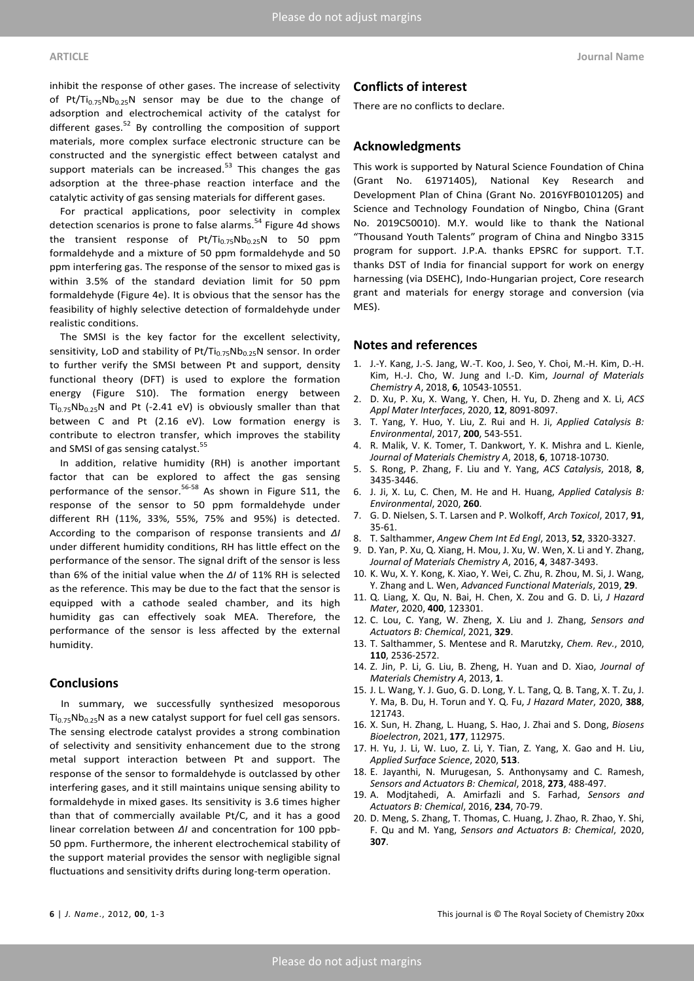inhibit the response of other gases. The increase of selectivity of Pt/Ti<sub>0.75</sub>Nb<sub>0.25</sub>N sensor may be due to the change of adsorption and electrochemical activity of the catalyst for different gases. $52$  By controlling the composition of support materials, more complex surface electronic structure can be constructed and the synergistic effect between catalyst and support materials can be increased. $53$  This changes the gas adsorption at the three-phase reaction interface and the catalytic activity of gas sensing materials for different gases.

For practical applications, poor selectivity in complex detection scenarios is prone to false alarms.<sup>54</sup> Figure 4d shows the transient response of  $Pt/Ti_{0.75}Nb_{0.25}N$  to 50 ppm formaldehyde and a mixture of 50 ppm formaldehyde and 50 ppm interfering gas. The response of the sensor to mixed gas is within 3.5% of the standard deviation limit for 50 ppm formaldehyde (Figure 4e). It is obvious that the sensor has the feasibility of highly selective detection of formaldehyde under realistic conditions.

The SMSI is the key factor for the excellent selectivity, sensitivity, LoD and stability of  $Pt/Ti_{0.75}Nb_{0.25}N$  sensor. In order to further verify the SMSI between Pt and support, density functional theory (DFT) is used to explore the formation energy (Figure S10). The formation energy between  $Ti_{0.75}Nb_{0.25}N$  and Pt (-2.41 eV) is obviously smaller than that between C and Pt (2.16 eV). Low formation energy is contribute to electron transfer, which improves the stability and SMSI of gas sensing catalyst.<sup>55</sup>

In addition, relative humidity (RH) is another important factor that can be explored to affect the gas sensing performance of the sensor.<sup>56-58</sup> As shown in Figure S11, the response of the sensor to 50 ppm formaldehyde under different RH (11%, 33%, 55%, 75% and 95%) is detected. According to the comparison of response transients and *ΔI* under different humidity conditions, RH has little effect on the performance of the sensor. The signal drift of the sensor is less than 6% of the initial value when the *ΔI* of 11% RH is selected as the reference. This may be due to the fact that the sensor is equipped with a cathode sealed chamber, and its high humidity gas can effectively soak MEA. Therefore, the performance of the sensor is less affected by the external humidity.

## **Conclusions**

In summary, we successfully synthesized mesoporous  $Ti_{0.75}Nb_{0.25}N$  as a new catalyst support for fuel cell gas sensors. The sensing electrode catalyst provides a strong combination of selectivity and sensitivity enhancement due to the strong metal support interaction between Pt and support. The response of the sensor to formaldehyde is outclassed by other interfering gases, and it still maintains unique sensing ability to formaldehyde in mixed gases. Its sensitivity is 3.6 times higher than that of commercially available Pt/C, and it has a good linear correlation between *ΔI* and concentration for 100 ppb-50 ppm. Furthermore, the inherent electrochemical stability of the support material provides the sensor with negligible signal fluctuations and sensitivity drifts during long-term operation.

## **Conflicts of interest**

There are no conflicts to declare.

## **Acknowledgments**

This work is supported by Natural Science Foundation of China (Grant No. 61971405), National Key Research and Development Plan of China (Grant No. 2016YFB0101205) and Science and Technology Foundation of Ningbo, China (Grant No. 2019C50010). M.Y. would like to thank the National "Thousand Youth Talents" program of China and Ningbo 3315 program for support. J.P.A. thanks EPSRC for support. T.T. thanks DST of India for financial support for work on energy harnessing (via DSEHC), Indo-Hungarian project, Core research grant and materials for energy storage and conversion (via MES).

#### **Notes and references**

- 1. J.-Y. Kang, J.-S. Jang, W.-T. Koo, J. Seo, Y. Choi, M.-H. Kim, D.-H. Kim, H.-J. Cho, W. Jung and I.-D. Kim, *Journal of Materials Chemistry A*, 2018, **6**, 10543-10551.
- 2. D. Xu, P. Xu, X. Wang, Y. Chen, H. Yu, D. Zheng and X. Li, *ACS Appl Mater Interfaces*, 2020, **12**, 8091-8097.
- 3. T. Yang, Y. Huo, Y. Liu, Z. Rui and H. Ji, *Applied Catalysis B: Environmental*, 2017, **200**, 543-551.
- 4. R. Malik, V. K. Tomer, T. Dankwort, Y. K. Mishra and L. Kienle, *Journal of Materials Chemistry A*, 2018, **6**, 10718-10730.
- 5. S. Rong, P. Zhang, F. Liu and Y. Yang, *ACS Catalysis*, 2018, **8**, 3435-3446.
- 6. J. Ji, X. Lu, C. Chen, M. He and H. Huang, *Applied Catalysis B: Environmental*, 2020, **260**.
- 7. G. D. Nielsen, S. T. Larsen and P. Wolkoff, *Arch Toxicol*, 2017, **91**, 35-61.
- 8. T. Salthammer, *Angew Chem Int Ed Engl*, 2013, **52**, 3320-3327.
- 9. D. Yan, P. Xu, Q. Xiang, H. Mou, J. Xu, W. Wen, X. Li and Y. Zhang, *Journal of Materials Chemistry A*, 2016, **4**, 3487-3493.
- 10. K. Wu, X. Y. Kong, K. Xiao, Y. Wei, C. Zhu, R. Zhou, M. Si, J. Wang, Y. Zhang and L. Wen, *Advanced Functional Materials*, 2019, **29**.
- 11. Q. Liang, X. Qu, N. Bai, H. Chen, X. Zou and G. D. Li, *J Hazard Mater*, 2020, **400**, 123301.
- 12. C. Lou, C. Yang, W. Zheng, X. Liu and J. Zhang, *Sensors and Actuators B: Chemical*, 2021, **329**.
- 13. T. Salthammer, S. Mentese and R. Marutzky, *Chem. Rev.*, 2010, **110**, 2536-2572.
- 14. Z. Jin, P. Li, G. Liu, B. Zheng, H. Yuan and D. Xiao, *Journal of Materials Chemistry A*, 2013, **1**.
- 15. J. L. Wang, Y. J. Guo, G. D. Long, Y. L. Tang, Q. B. Tang, X. T. Zu, J. Y. Ma, B. Du, H. Torun and Y. Q. Fu, *J Hazard Mater*, 2020, **388**, 121743.
- 16. X. Sun, H. Zhang, L. Huang, S. Hao, J. Zhai and S. Dong, *Biosens Bioelectron*, 2021, **177**, 112975.
- 17. H. Yu, J. Li, W. Luo, Z. Li, Y. Tian, Z. Yang, X. Gao and H. Liu, *Applied Surface Science*, 2020, **513**.
- 18. E. Jayanthi, N. Murugesan, S. Anthonysamy and C. Ramesh, *Sensors and Actuators B: Chemical*, 2018, **273**, 488-497.
- 19. A. Modjtahedi, A. Amirfazli and S. Farhad, *Sensors and Actuators B: Chemical*, 2016, **234**, 70-79.
- 20. D. Meng, S. Zhang, T. Thomas, C. Huang, J. Zhao, R. Zhao, Y. Shi, F. Qu and M. Yang, *Sensors and Actuators B: Chemical*, 2020, **307**.